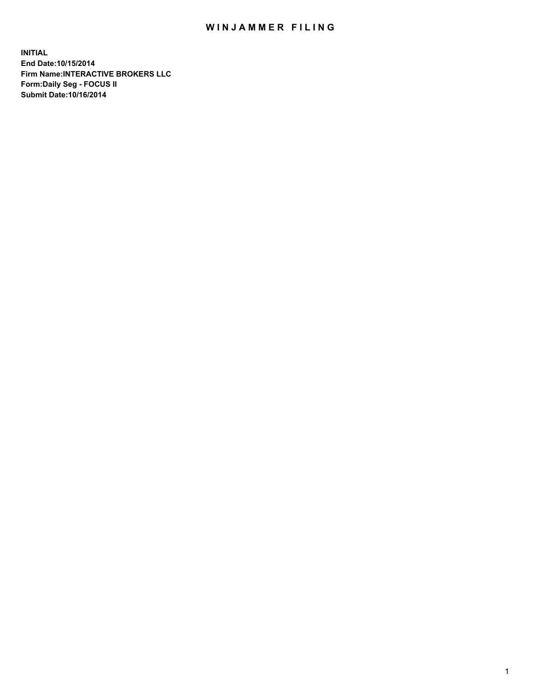## WIN JAMMER FILING

**INITIAL End Date:10/15/2014 Firm Name:INTERACTIVE BROKERS LLC Form:Daily Seg - FOCUS II Submit Date:10/16/2014**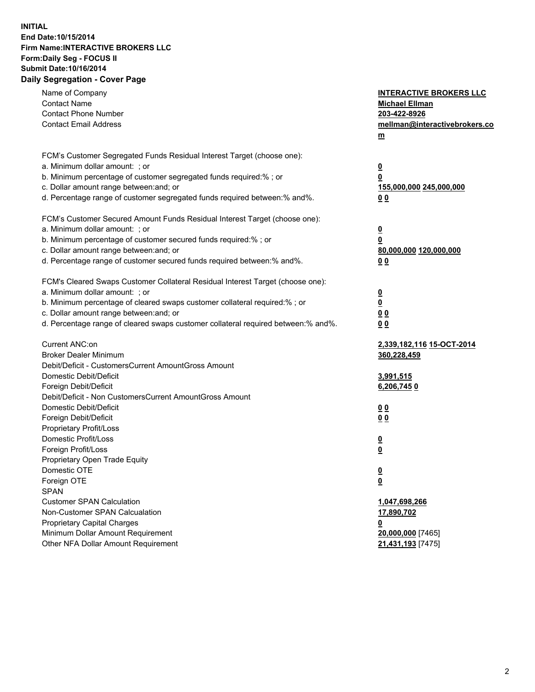## **INITIAL End Date:10/15/2014 Firm Name:INTERACTIVE BROKERS LLC Form:Daily Seg - FOCUS II Submit Date:10/16/2014 Daily Segregation - Cover Page**

| Name of Company<br><b>Contact Name</b><br><b>Contact Phone Number</b><br><b>Contact Email Address</b>                                                                                                                                                                                                                          | <b>INTERACTIVE BROKERS LLC</b><br><b>Michael Ellman</b><br>203-422-8926<br>mellman@interactivebrokers.co<br>m |
|--------------------------------------------------------------------------------------------------------------------------------------------------------------------------------------------------------------------------------------------------------------------------------------------------------------------------------|---------------------------------------------------------------------------------------------------------------|
| FCM's Customer Segregated Funds Residual Interest Target (choose one):<br>a. Minimum dollar amount: ; or<br>b. Minimum percentage of customer segregated funds required:% ; or<br>c. Dollar amount range between: and; or<br>d. Percentage range of customer segregated funds required between:% and%.                         | $\overline{\mathbf{0}}$<br>0<br>155,000,000 245,000,000<br>00                                                 |
| FCM's Customer Secured Amount Funds Residual Interest Target (choose one):<br>a. Minimum dollar amount: ; or<br>b. Minimum percentage of customer secured funds required:% ; or<br>c. Dollar amount range between: and; or<br>d. Percentage range of customer secured funds required between:% and%.                           | $\overline{\mathbf{0}}$<br>0<br>80,000,000 120,000,000<br>0 <sub>0</sub>                                      |
| FCM's Cleared Swaps Customer Collateral Residual Interest Target (choose one):<br>a. Minimum dollar amount: ; or<br>b. Minimum percentage of cleared swaps customer collateral required:% ; or<br>c. Dollar amount range between: and; or<br>d. Percentage range of cleared swaps customer collateral required between:% and%. | $\overline{\mathbf{0}}$<br><u>0</u><br>0 <sub>0</sub><br>0 <sub>0</sub>                                       |
| Current ANC:on<br><b>Broker Dealer Minimum</b><br>Debit/Deficit - CustomersCurrent AmountGross Amount<br>Domestic Debit/Deficit<br>Foreign Debit/Deficit                                                                                                                                                                       | 2,339,182,116 15-OCT-2014<br>360,228,459<br>3,991,515<br>6,206,7450                                           |
| Debit/Deficit - Non CustomersCurrent AmountGross Amount<br>Domestic Debit/Deficit<br>Foreign Debit/Deficit<br>Proprietary Profit/Loss<br>Domestic Profit/Loss<br>Foreign Profit/Loss                                                                                                                                           | 0 <sub>0</sub><br>0 <sub>0</sub><br>$\overline{\mathbf{0}}$<br>$\overline{\mathbf{0}}$                        |
| Proprietary Open Trade Equity<br>Domestic OTE<br>Foreign OTE<br><b>SPAN</b><br><b>Customer SPAN Calculation</b>                                                                                                                                                                                                                | $\overline{\mathbf{0}}$<br><u>0</u><br>1,047,698,266                                                          |
| Non-Customer SPAN Calcualation<br><b>Proprietary Capital Charges</b><br>Minimum Dollar Amount Requirement<br>Other NFA Dollar Amount Requirement                                                                                                                                                                               | 17,890,702<br><u>0</u><br>20,000,000 [7465]<br>21,431,193 [7475]                                              |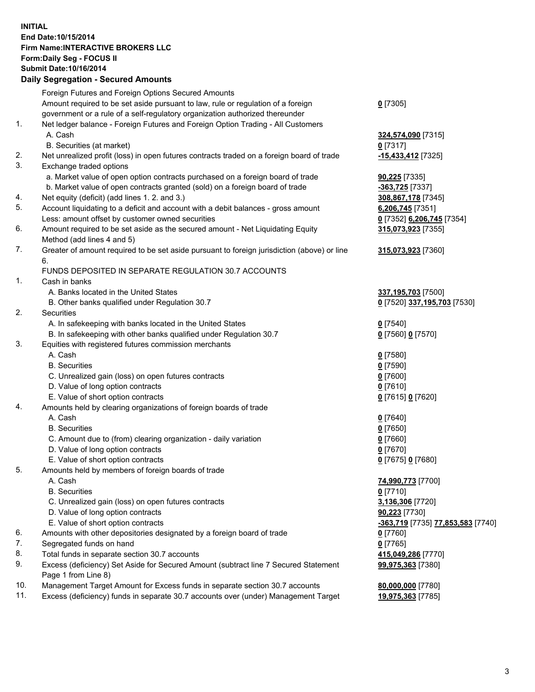## **INITIAL End Date:10/15/2014 Firm Name:INTERACTIVE BROKERS LLC Form:Daily Seg - FOCUS II Submit Date:10/16/2014 Daily Segregation - Secured Amounts**

|     | Foreign Futures and Foreign Options Secured Amounts                                                        |                                                 |
|-----|------------------------------------------------------------------------------------------------------------|-------------------------------------------------|
|     | Amount required to be set aside pursuant to law, rule or regulation of a foreign                           | $0$ [7305]                                      |
|     | government or a rule of a self-regulatory organization authorized thereunder                               |                                                 |
| 1.  | Net ledger balance - Foreign Futures and Foreign Option Trading - All Customers                            |                                                 |
|     | A. Cash                                                                                                    | 324,574,090 [7315]                              |
|     | B. Securities (at market)                                                                                  | $0$ [7317]                                      |
| 2.  | Net unrealized profit (loss) in open futures contracts traded on a foreign board of trade                  | -15,433,412 [7325]                              |
| 3.  | Exchange traded options                                                                                    |                                                 |
|     | a. Market value of open option contracts purchased on a foreign board of trade                             | <b>90,225</b> [7335]                            |
|     | b. Market value of open contracts granted (sold) on a foreign board of trade                               | -363,725 [7337]                                 |
| 4.  | Net equity (deficit) (add lines 1.2. and 3.)                                                               | 308,867,178 [7345]                              |
| 5.  | Account liquidating to a deficit and account with a debit balances - gross amount                          | 6,206,745 [7351]                                |
|     | Less: amount offset by customer owned securities                                                           | 0 [7352] 6,206,745 [7354]                       |
| 6.  | Amount required to be set aside as the secured amount - Net Liquidating Equity                             | 315,073,923 [7355]                              |
|     | Method (add lines 4 and 5)                                                                                 |                                                 |
| 7.  | Greater of amount required to be set aside pursuant to foreign jurisdiction (above) or line                | 315,073,923 [7360]                              |
|     | 6.                                                                                                         |                                                 |
|     | FUNDS DEPOSITED IN SEPARATE REGULATION 30.7 ACCOUNTS                                                       |                                                 |
| 1.  | Cash in banks                                                                                              |                                                 |
|     | A. Banks located in the United States                                                                      | 337, 195, 703 [7500]                            |
|     | B. Other banks qualified under Regulation 30.7                                                             | 0 [7520] 337,195,703 [7530]                     |
| 2.  | Securities                                                                                                 |                                                 |
|     | A. In safekeeping with banks located in the United States                                                  | $0$ [7540]                                      |
|     | B. In safekeeping with other banks qualified under Regulation 30.7                                         | 0 [7560] 0 [7570]                               |
| 3.  | Equities with registered futures commission merchants                                                      |                                                 |
|     | A. Cash                                                                                                    | $0$ [7580]                                      |
|     | <b>B.</b> Securities                                                                                       | $0$ [7590]                                      |
|     | C. Unrealized gain (loss) on open futures contracts                                                        | $0$ [7600]                                      |
|     | D. Value of long option contracts                                                                          | $0$ [7610]                                      |
|     | E. Value of short option contracts                                                                         | 0 [7615] 0 [7620]                               |
| 4.  | Amounts held by clearing organizations of foreign boards of trade                                          |                                                 |
|     | A. Cash                                                                                                    | $0$ [7640]                                      |
|     | <b>B.</b> Securities                                                                                       | $0$ [7650]                                      |
|     | C. Amount due to (from) clearing organization - daily variation                                            | $0$ [7660]                                      |
|     | D. Value of long option contracts                                                                          | $0$ [7670]                                      |
|     | E. Value of short option contracts                                                                         | 0 [7675] 0 [7680]                               |
| 5.  | Amounts held by members of foreign boards of trade                                                         |                                                 |
|     | A. Cash                                                                                                    | 74,990,773 [7700]                               |
|     | <b>B.</b> Securities                                                                                       | $0$ [7710]                                      |
|     | C. Unrealized gain (loss) on open futures contracts                                                        | 3,136,306 [7720]                                |
|     | D. Value of long option contracts                                                                          | 90,223 [7730]                                   |
|     | E. Value of short option contracts                                                                         | <u>-363,719</u> [7735] <u>77,853,583</u> [7740] |
| 6.  | Amounts with other depositories designated by a foreign board of trade                                     | $0$ [7760]                                      |
| 7.  | Segregated funds on hand                                                                                   | $0$ [7765]                                      |
| 8.  | Total funds in separate section 30.7 accounts                                                              | 415,049,286 [7770]                              |
| 9.  | Excess (deficiency) Set Aside for Secured Amount (subtract line 7 Secured Statement<br>Page 1 from Line 8) | 99,975,363 [7380]                               |
| 10. | Management Target Amount for Excess funds in separate section 30.7 accounts                                | 80,000,000 [7780]                               |
| 11. | Excess (deficiency) funds in separate 30.7 accounts over (under) Management Target                         | 19,975,363 [7785]                               |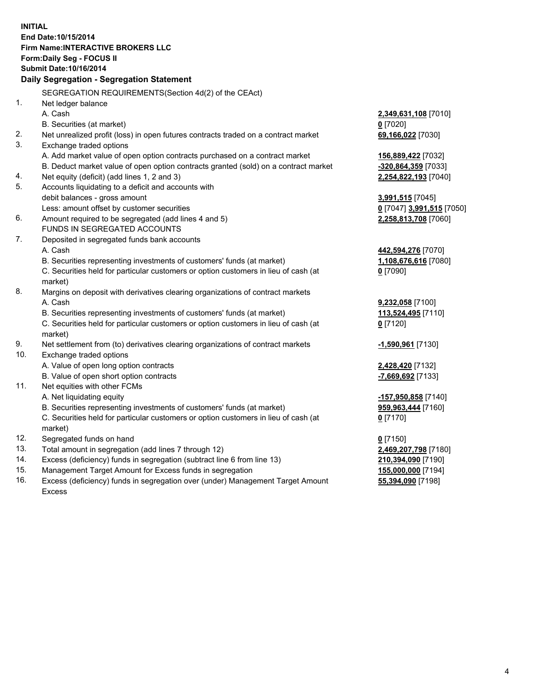**INITIAL End Date:10/15/2014 Firm Name:INTERACTIVE BROKERS LLC Form:Daily Seg - FOCUS II Submit Date:10/16/2014 Daily Segregation - Segregation Statement** SEGREGATION REQUIREMENTS(Section 4d(2) of the CEAct) 1. Net ledger balance A. Cash **2,349,631,108** [7010] B. Securities (at market) **0** [7020] 2. Net unrealized profit (loss) in open futures contracts traded on a contract market **69,166,022** [7030] 3. Exchange traded options A. Add market value of open option contracts purchased on a contract market **156,889,422** [7032] B. Deduct market value of open option contracts granted (sold) on a contract market **-320,864,359** [7033] 4. Net equity (deficit) (add lines 1, 2 and 3) **2,254,822,193** [7040] 5. Accounts liquidating to a deficit and accounts with debit balances - gross amount **3,991,515** [7045] Less: amount offset by customer securities **0** [7047] **3,991,515** [7050] 6. Amount required to be segregated (add lines 4 and 5) **2,258,813,708** [7060] FUNDS IN SEGREGATED ACCOUNTS 7. Deposited in segregated funds bank accounts A. Cash **442,594,276** [7070] B. Securities representing investments of customers' funds (at market) **1,108,676,616** [7080] C. Securities held for particular customers or option customers in lieu of cash (at market) **0** [7090] 8. Margins on deposit with derivatives clearing organizations of contract markets A. Cash **9,232,058** [7100] B. Securities representing investments of customers' funds (at market) **113,524,495** [7110] C. Securities held for particular customers or option customers in lieu of cash (at market) **0** [7120] 9. Net settlement from (to) derivatives clearing organizations of contract markets **-1,590,961** [7130] 10. Exchange traded options A. Value of open long option contracts **2,428,420** [7132] B. Value of open short option contracts **-7,669,692** [7133] 11. Net equities with other FCMs A. Net liquidating equity **-157,950,858** [7140] B. Securities representing investments of customers' funds (at market) **959,963,444** [7160] C. Securities held for particular customers or option customers in lieu of cash (at market) **0** [7170] 12. Segregated funds on hand **0** [7150] 13. Total amount in segregation (add lines 7 through 12) **2,469,207,798** [7180] 14. Excess (deficiency) funds in segregation (subtract line 6 from line 13) **210,394,090** [7190] 15. Management Target Amount for Excess funds in segregation **155,000,000** [7194]

16. Excess (deficiency) funds in segregation over (under) Management Target Amount Excess

**55,394,090** [7198]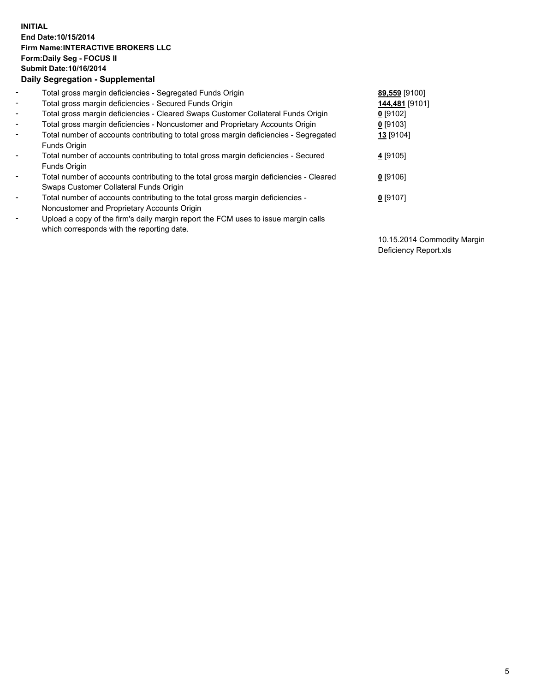## **INITIAL End Date:10/15/2014 Firm Name:INTERACTIVE BROKERS LLC Form:Daily Seg - FOCUS II Submit Date:10/16/2014 Daily Segregation - Supplemental**

| $\blacksquare$ | Total gross margin deficiencies - Segregated Funds Origin                              | 89,559 [9100]  |
|----------------|----------------------------------------------------------------------------------------|----------------|
| $\blacksquare$ | Total gross margin deficiencies - Secured Funds Origin                                 | 144,481 [9101] |
| $\blacksquare$ | Total gross margin deficiencies - Cleared Swaps Customer Collateral Funds Origin       | $0$ [9102]     |
| $\blacksquare$ | Total gross margin deficiencies - Noncustomer and Proprietary Accounts Origin          | $0$ [9103]     |
| $\blacksquare$ | Total number of accounts contributing to total gross margin deficiencies - Segregated  | 13 [9104]      |
|                | Funds Origin                                                                           |                |
| $\sim$         | Total number of accounts contributing to total gross margin deficiencies - Secured     | 4 [9105]       |
|                | <b>Funds Origin</b>                                                                    |                |
| $\blacksquare$ | Total number of accounts contributing to the total gross margin deficiencies - Cleared | $0$ [9106]     |
|                | Swaps Customer Collateral Funds Origin                                                 |                |
| $\blacksquare$ | Total number of accounts contributing to the total gross margin deficiencies -         | $0$ [9107]     |
|                | Noncustomer and Proprietary Accounts Origin                                            |                |
| $\blacksquare$ | Upload a copy of the firm's daily margin report the FCM uses to issue margin calls     |                |
|                | which corresponds with the reporting date.                                             |                |

10.15.2014 Commodity Margin Deficiency Report.xls